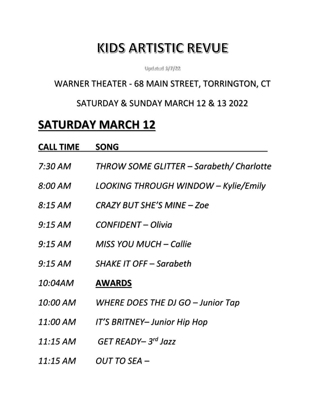# **KIDS ARTISTIC REVUE**

Updated 3/7/22

## WARNER THEATER - 68 MAIN STREET, TORRINGTON, CT

### SATURDAY & SUNDAY MARCH 12 & 13 2022

# **SATURDAY MARCH 12**

| <b>CALL TIME</b> | <b>SONG</b>                              |
|------------------|------------------------------------------|
| 7:30 AM          | THROW SOME GLITTER – Sarabeth/ Charlotte |
| 8:00 AM          | LOOKING THROUGH WINDOW - Kylie/Emily     |
| 8:15 AM          | CRAZY BUT SHE'S MINE - Zoe               |
| 9:15 AM          | CONFIDENT – Olivia                       |
| 9:15 AM          | MISS YOU MUCH – Callie                   |
| 9:15 AM          | <b>SHAKE IT OFF – Sarabeth</b>           |
| 10:04AM          | <b>AWARDS</b>                            |
| 10:00 AM         | WHERE DOES THE DJ GO - Junior Tap        |
| 11:00 AM         | IT'S BRITNEY– Junior Hip Hop             |
| 11:15 AM         | GET READY-3rd Jazz                       |
| 11:15 AM         | OUT TO SEA –                             |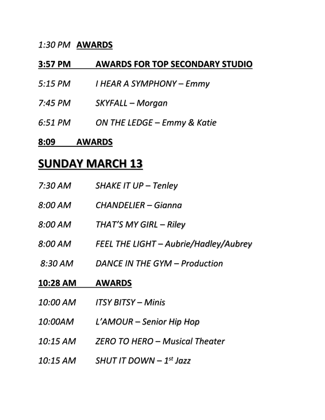### *1:30 PM* **AWARDS**

### **3:57 PM AWARDS FOR TOP SECONDARY STUDIO**

- *5:15 PM I HEAR A SYMPHONY – Emmy*
- *7:45 PM SKYFALL – Morgan*
- *6:51 PM ON THE LEDGE – Emmy & Katie*

#### **8:09 AWARDS**

## **SUNDAY MARCH 13**

| 7:30 AM        | SHAKE IT UP - Tenley                  |
|----------------|---------------------------------------|
| 8:00 AM        | CHANDELIER – Gianna                   |
| 8:00 AM        | THAT'S MY GIRL - Riley                |
| $8:00$ AM      | FEEL THE LIGHT - Aubrie/Hadley/Aubrey |
| $8:30$ AM      | DANCE IN THE GYM - Production         |
|                |                                       |
| 10:28 AM       | <b>AWARDS</b>                         |
| 10:00 AM       | <b>ITSY BITSY – Minis</b>             |
| <i>10:00AM</i> | L'AMOUR – Senior Hip Hop              |
| 10:15 AM       | <b>ZERO TO HERO – Musical Theater</b> |